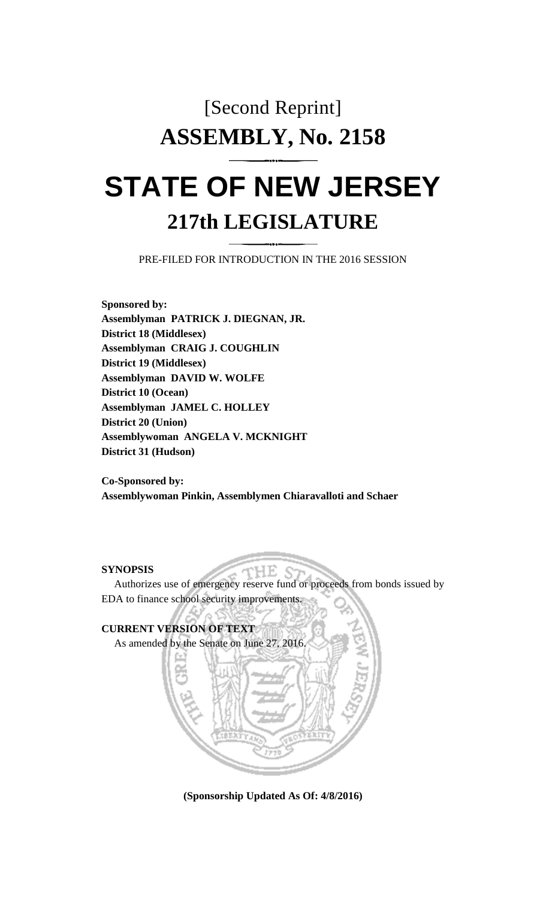# [Second Reprint] **ASSEMBLY, No. 2158**

## **STATE OF NEW JERSEY 217th LEGISLATURE**

PRE-FILED FOR INTRODUCTION IN THE 2016 SESSION

**Sponsored by: Assemblyman PATRICK J. DIEGNAN, JR. District 18 (Middlesex) Assemblyman CRAIG J. COUGHLIN District 19 (Middlesex) Assemblyman DAVID W. WOLFE District 10 (Ocean) Assemblyman JAMEL C. HOLLEY District 20 (Union) Assemblywoman ANGELA V. MCKNIGHT District 31 (Hudson)**

**Co-Sponsored by: Assemblywoman Pinkin, Assemblymen Chiaravalloti and Schaer**

#### **SYNOPSIS**

Authorizes use of emergency reserve fund or proceeds from bonds issued by EDA to finance school security improvements.

HE.



**(Sponsorship Updated As Of: 4/8/2016)**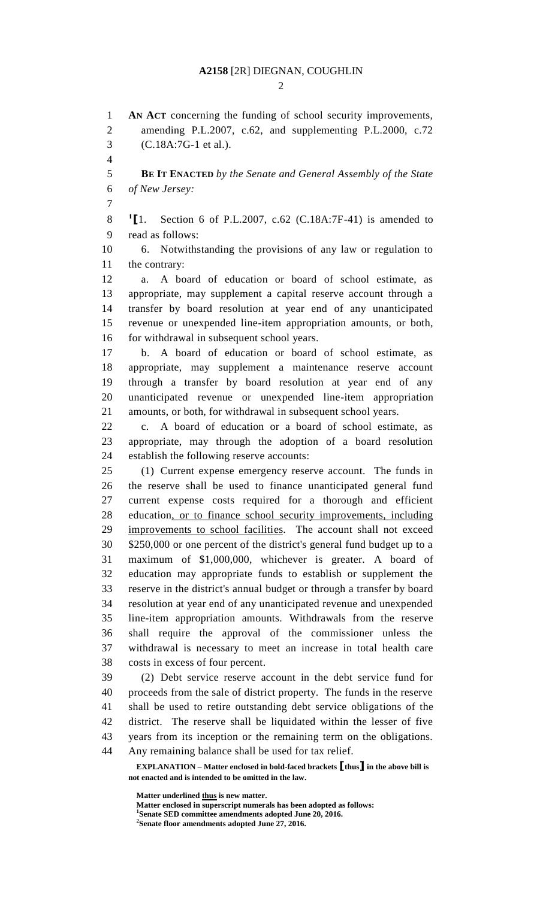#### **A2158** [2R] DIEGNAN, COUGHLIN

 $\mathcal{D}_{\mathcal{L}}$ 

**EXPLANATION – Matter enclosed in bold-faced brackets [thus] in the above bill is not enacted and is intended to be omitted in the law. AN ACT** concerning the funding of school security improvements, amending P.L.2007, c.62, and supplementing P.L.2000, c.72 (C.18A:7G-1 et al.). **BE IT ENACTED** *by the Senate and General Assembly of the State of New Jersey:*  $^{1}$ [1. **[**1. Section 6 of P.L.2007, c.62 (C.18A:7F-41) is amended to read as follows: 6. Notwithstanding the provisions of any law or regulation to the contrary: a. A board of education or board of school estimate, as appropriate, may supplement a capital reserve account through a transfer by board resolution at year end of any unanticipated revenue or unexpended line-item appropriation amounts, or both, 16 for withdrawal in subsequent school years. b. A board of education or board of school estimate, as appropriate, may supplement a maintenance reserve account through a transfer by board resolution at year end of any unanticipated revenue or unexpended line-item appropriation amounts, or both, for withdrawal in subsequent school years. c. A board of education or a board of school estimate, as appropriate, may through the adoption of a board resolution establish the following reserve accounts: (1) Current expense emergency reserve account. The funds in the reserve shall be used to finance unanticipated general fund current expense costs required for a thorough and efficient education, or to finance school security improvements, including improvements to school facilities. The account shall not exceed \$250,000 or one percent of the district's general fund budget up to a maximum of \$1,000,000, whichever is greater. A board of education may appropriate funds to establish or supplement the reserve in the district's annual budget or through a transfer by board resolution at year end of any unanticipated revenue and unexpended line-item appropriation amounts. Withdrawals from the reserve shall require the approval of the commissioner unless the withdrawal is necessary to meet an increase in total health care costs in excess of four percent. (2) Debt service reserve account in the debt service fund for proceeds from the sale of district property. The funds in the reserve shall be used to retire outstanding debt service obligations of the district. The reserve shall be liquidated within the lesser of five years from its inception or the remaining term on the obligations. Any remaining balance shall be used for tax relief.

**Matter underlined thus is new matter.**

**Matter enclosed in superscript numerals has been adopted as follows: Senate SED committee amendments adopted June 20, 2016. Senate floor amendments adopted June 27, 2016.**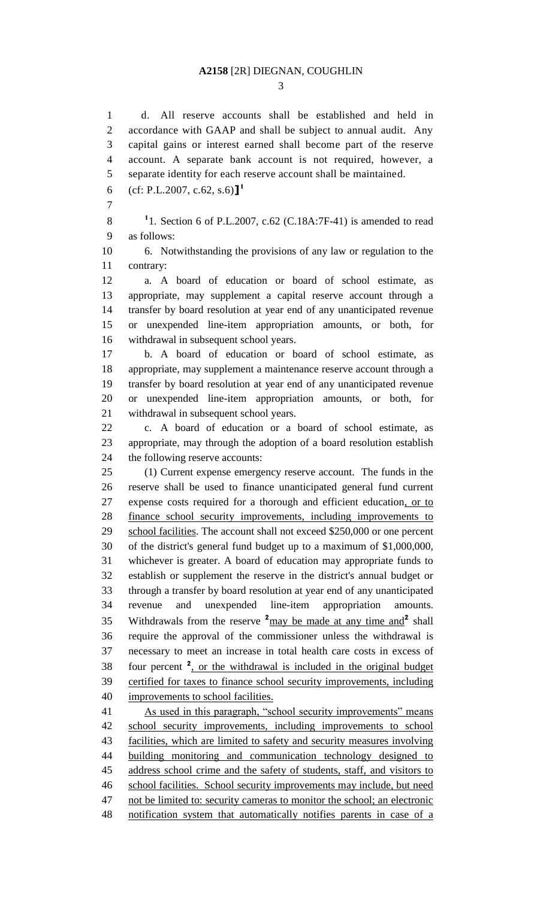#### **A2158** [2R] DIEGNAN, COUGHLIN

 d. All reserve accounts shall be established and held in accordance with GAAP and shall be subject to annual audit. Any capital gains or interest earned shall become part of the reserve account. A separate bank account is not required, however, a separate identity for each reserve account shall be maintained.

(cf: P.L.2007, c.62, s.6)**] 1** 

**1** 1. Section 6 of P.L.2007, c.62 (C.18A:7F-41) is amended to read as follows:

 6. Notwithstanding the provisions of any law or regulation to the contrary:

 a. A board of education or board of school estimate, as appropriate, may supplement a capital reserve account through a transfer by board resolution at year end of any unanticipated revenue or unexpended line-item appropriation amounts, or both, for withdrawal in subsequent school years.

 b. A board of education or board of school estimate, as appropriate, may supplement a maintenance reserve account through a transfer by board resolution at year end of any unanticipated revenue or unexpended line-item appropriation amounts, or both, for withdrawal in subsequent school years.

 c. A board of education or a board of school estimate, as appropriate, may through the adoption of a board resolution establish the following reserve accounts:

 (1) Current expense emergency reserve account. The funds in the reserve shall be used to finance unanticipated general fund current expense costs required for a thorough and efficient education, or to finance school security improvements, including improvements to 29 school facilities. The account shall not exceed \$250,000 or one percent of the district's general fund budget up to a maximum of \$1,000,000, whichever is greater. A board of education may appropriate funds to establish or supplement the reserve in the district's annual budget or through a transfer by board resolution at year end of any unanticipated revenue and unexpended line-item appropriation amounts. 35 Withdrawals from the reserve  $2_{\text{may}}$  be made at any time and  $2$  shall require the approval of the commissioner unless the withdrawal is necessary to meet an increase in total health care costs in excess of 38 four percent <sup>2</sup>, or the withdrawal is included in the original budget certified for taxes to finance school security improvements, including improvements to school facilities.

 As used in this paragraph, "school security improvements" means school security improvements, including improvements to school facilities, which are limited to safety and security measures involving building monitoring and communication technology designed to address school crime and the safety of students, staff, and visitors to school facilities. School security improvements may include, but need 47 not be limited to: security cameras to monitor the school; an electronic notification system that automatically notifies parents in case of a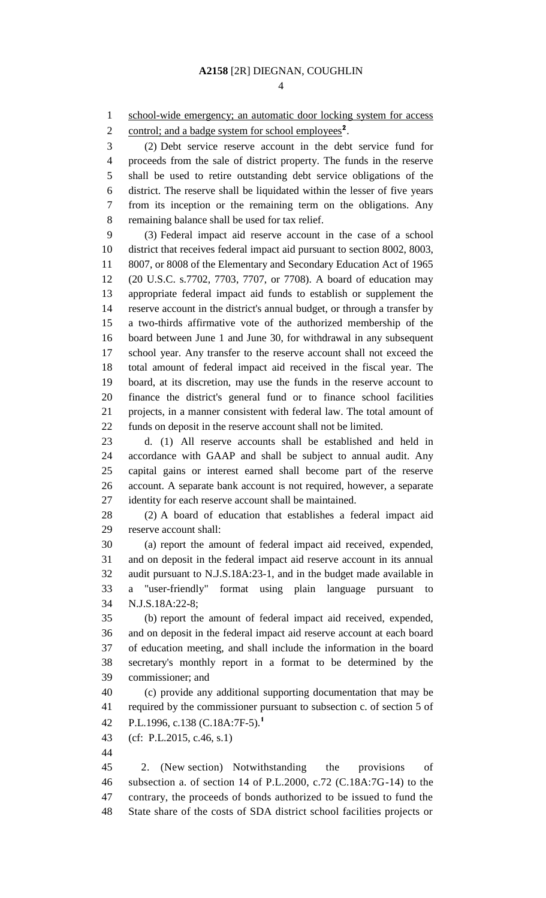1 school-wide emergency; an automatic door locking system for access

2 control; and a badge system for school employees<sup>2</sup>.

 (2) Debt service reserve account in the debt service fund for proceeds from the sale of district property. The funds in the reserve shall be used to retire outstanding debt service obligations of the district. The reserve shall be liquidated within the lesser of five years from its inception or the remaining term on the obligations. Any remaining balance shall be used for tax relief.

 (3) Federal impact aid reserve account in the case of a school district that receives federal impact aid pursuant to section 8002, 8003, 8007, or 8008 of the Elementary and Secondary Education Act of 1965 (20 U.S.C. s.7702, 7703, 7707, or 7708). A board of education may appropriate federal impact aid funds to establish or supplement the reserve account in the district's annual budget, or through a transfer by a two-thirds affirmative vote of the authorized membership of the board between June 1 and June 30, for withdrawal in any subsequent school year. Any transfer to the reserve account shall not exceed the total amount of federal impact aid received in the fiscal year. The board, at its discretion, may use the funds in the reserve account to finance the district's general fund or to finance school facilities projects, in a manner consistent with federal law. The total amount of funds on deposit in the reserve account shall not be limited.

 d. (1) All reserve accounts shall be established and held in accordance with GAAP and shall be subject to annual audit. Any capital gains or interest earned shall become part of the reserve account. A separate bank account is not required, however, a separate identity for each reserve account shall be maintained.

 (2) A board of education that establishes a federal impact aid reserve account shall:

 (a) report the amount of federal impact aid received, expended, and on deposit in the federal impact aid reserve account in its annual audit pursuant to N.J.S.18A:23-1, and in the budget made available in a "user-friendly" format using plain language pursuant to N.J.S.18A:22-8;

 (b) report the amount of federal impact aid received, expended, and on deposit in the federal impact aid reserve account at each board of education meeting, and shall include the information in the board secretary's monthly report in a format to be determined by the commissioner; and

 (c) provide any additional supporting documentation that may be required by the commissioner pursuant to subsection c. of section 5 of P.L.1996, c.138 (C.18A:7F-5).**<sup>1</sup>** 

(cf: P.L.2015, c.46, s.1)

 2. (New section) Notwithstanding the provisions of subsection a. of section 14 of P.L.2000, c.72 (C.18A:7G-14) to the contrary, the proceeds of bonds authorized to be issued to fund the State share of the costs of SDA district school facilities projects or